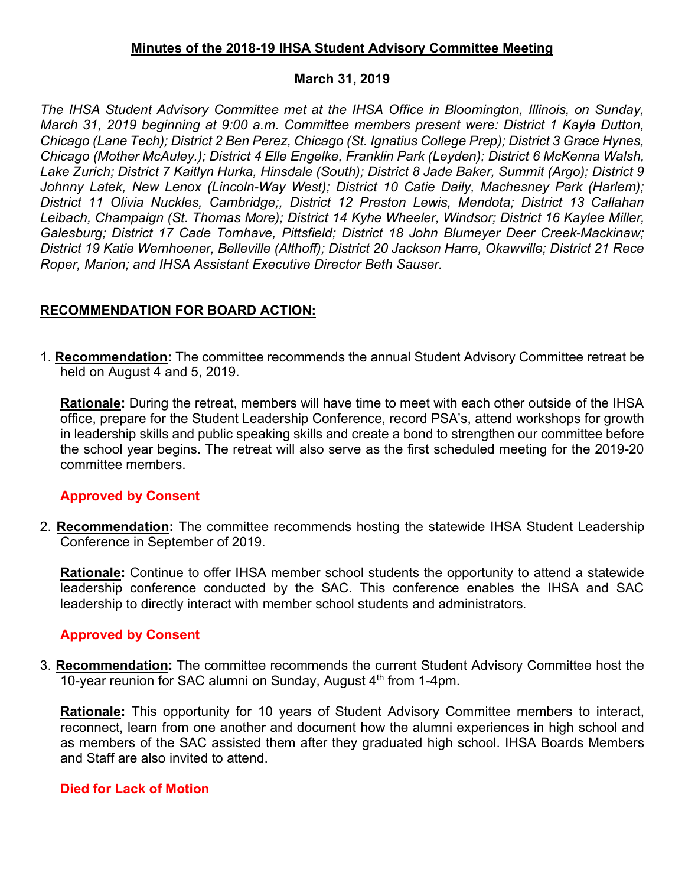#### **Minutes of the 2018-19 IHSA Student Advisory Committee Meeting**

#### **March 31, 2019**

*The IHSA Student Advisory Committee met at the IHSA Office in Bloomington, Illinois, on Sunday, March 31, 2019 beginning at 9:00 a.m. Committee members present were: District 1 Kayla Dutton, Chicago (Lane Tech); District 2 Ben Perez, Chicago (St. Ignatius College Prep); District 3 Grace Hynes, Chicago (Mother McAuley.); District 4 Elle Engelke, Franklin Park (Leyden); District 6 McKenna Walsh, Lake Zurich; District 7 Kaitlyn Hurka, Hinsdale (South); District 8 Jade Baker, Summit (Argo); District 9 Johnny Latek, New Lenox (Lincoln-Way West); District 10 Catie Daily, Machesney Park (Harlem); District 11 Olivia Nuckles, Cambridge;, District 12 Preston Lewis, Mendota; District 13 Callahan Leibach, Champaign (St. Thomas More); District 14 Kyhe Wheeler, Windsor; District 16 Kaylee Miller, Galesburg; District 17 Cade Tomhave, Pittsfield; District 18 John Blumeyer Deer Creek-Mackinaw; District 19 Katie Wemhoener, Belleville (Althoff); District 20 Jackson Harre, Okawville; District 21 Rece Roper, Marion; and IHSA Assistant Executive Director Beth Sauser.* 

## **RECOMMENDATION FOR BOARD ACTION:**

1. **Recommendation:** The committee recommends the annual Student Advisory Committee retreat be held on August 4 and 5, 2019.

**Rationale:** During the retreat, members will have time to meet with each other outside of the IHSA office, prepare for the Student Leadership Conference, record PSA's, attend workshops for growth in leadership skills and public speaking skills and create a bond to strengthen our committee before the school year begins. The retreat will also serve as the first scheduled meeting for the 2019-20 committee members.

## **Approved by Consent**

2. **Recommendation:** The committee recommends hosting the statewide IHSA Student Leadership Conference in September of 2019.

**Rationale:** Continue to offer IHSA member school students the opportunity to attend a statewide leadership conference conducted by the SAC. This conference enables the IHSA and SAC leadership to directly interact with member school students and administrators.

## **Approved by Consent**

3. **Recommendation:** The committee recommends the current Student Advisory Committee host the 10-year reunion for SAC alumni on Sunday, August  $4<sup>th</sup>$  from 1-4pm.

**Rationale:** This opportunity for 10 years of Student Advisory Committee members to interact, reconnect, learn from one another and document how the alumni experiences in high school and as members of the SAC assisted them after they graduated high school. IHSA Boards Members and Staff are also invited to attend.

#### **Died for Lack of Motion**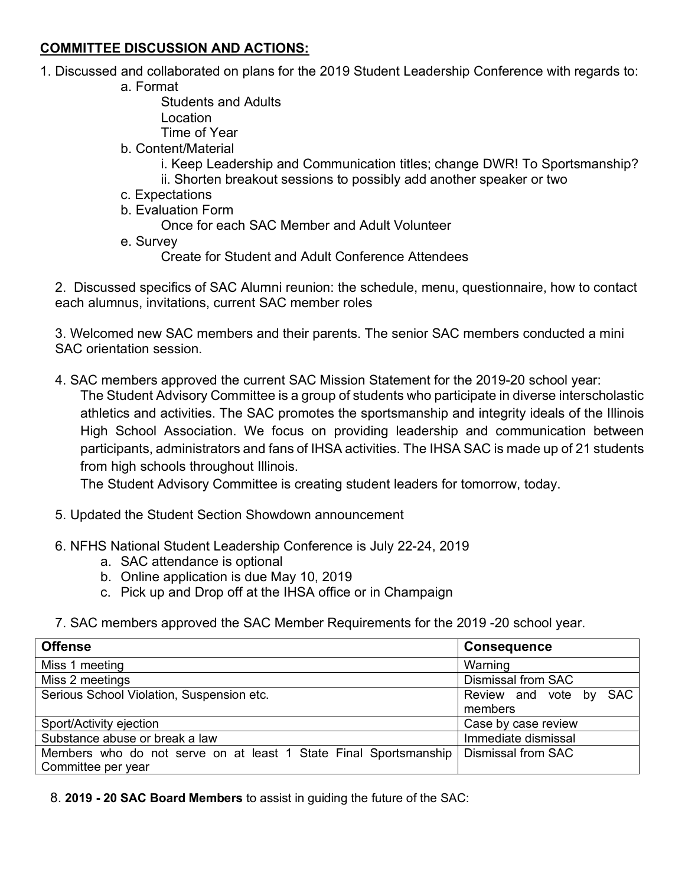## **COMMITTEE DISCUSSION AND ACTIONS:**

- 1. Discussed and collaborated on plans for the 2019 Student Leadership Conference with regards to:
	- a. Format

Students and Adults

Location

Time of Year

- b. Content/Material
	- i. Keep Leadership and Communication titles; change DWR! To Sportsmanship?
	- ii. Shorten breakout sessions to possibly add another speaker or two
- c. Expectations
- b. Evaluation Form

Once for each SAC Member and Adult Volunteer

e. Survey

Create for Student and Adult Conference Attendees

2. Discussed specifics of SAC Alumni reunion: the schedule, menu, questionnaire, how to contact each alumnus, invitations, current SAC member roles

3. Welcomed new SAC members and their parents. The senior SAC members conducted a mini SAC orientation session.

4. SAC members approved the current SAC Mission Statement for the 2019-20 school year:

The Student Advisory Committee is a group of students who participate in diverse interscholastic athletics and activities. The SAC promotes the sportsmanship and integrity ideals of the Illinois High School Association. We focus on providing leadership and communication between participants, administrators and fans of IHSA activities. The IHSA SAC is made up of 21 students from high schools throughout Illinois.

The Student Advisory Committee is creating student leaders for tomorrow, today.

- 5. Updated the Student Section Showdown announcement
- 6. NFHS National Student Leadership Conference is July 22-24, 2019
	- a. SAC attendance is optional
	- b. Online application is due May 10, 2019
	- c. Pick up and Drop off at the IHSA office or in Champaign
- 7. SAC members approved the SAC Member Requirements for the 2019 -20 school year.

| <b>Offense</b>                                                   | <b>Consequence</b>        |
|------------------------------------------------------------------|---------------------------|
| Miss 1 meeting                                                   | Warning                   |
| Miss 2 meetings                                                  | <b>Dismissal from SAC</b> |
| Serious School Violation, Suspension etc.                        | Review and vote by SAC    |
|                                                                  | members                   |
| Sport/Activity ejection                                          | Case by case review       |
| Substance abuse or break a law                                   | Immediate dismissal       |
| Members who do not serve on at least 1 State Final Sportsmanship | Dismissal from SAC        |
| Committee per year                                               |                           |

8. **2019 - 20 SAC Board Members** to assist in guiding the future of the SAC: